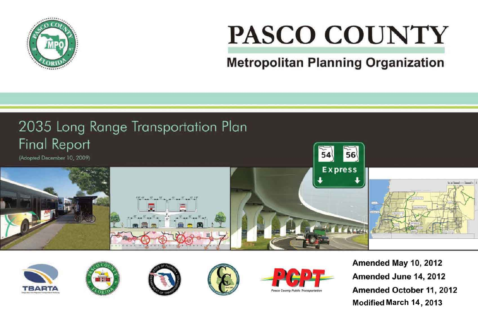

# PASCO COUNTY

**Metropolitan Planning Organization** 















Amended May 10, 2012 Amended June 14, 2012 Amended October 11, 2012 **Modified March 14, 2013**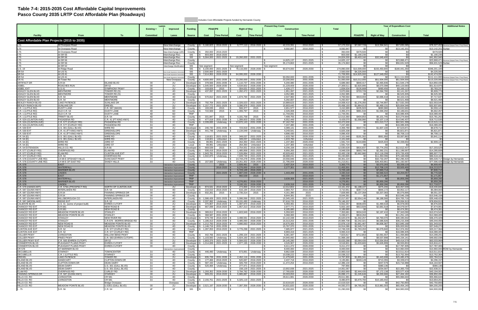# **Table 7-4: 2015-2035 Cost Affordable Capital Improvements Pasco County 2035 LRTP Cost Affordable Plan (Roadways)**

|                                                     |                                                     |                                                 |                  |                                                 |                       |                            |                                        | Includes Cost Affordable Projects funded by Hernando County |                                            |                                          |                        |                          |                                 |                           |                              |                             |                                                                  |
|-----------------------------------------------------|-----------------------------------------------------|-------------------------------------------------|------------------|-------------------------------------------------|-----------------------|----------------------------|----------------------------------------|-------------------------------------------------------------|--------------------------------------------|------------------------------------------|------------------------|--------------------------|---------------------------------|---------------------------|------------------------------|-----------------------------|------------------------------------------------------------------|
|                                                     |                                                     |                                                 | Existing $\pm$   | Lanes<br><b>Improved</b>                        | <b>Funding</b>        | <b>PD&amp;E/PE</b>         |                                        | <b>Right of Way</b>                                         |                                            | <b>Present Day Costs</b><br>Construction |                        | Total                    | <b>Year of Expenditure Cost</b> |                           |                              | <b>Additional Notes</b>     |                                                                  |
| <b>Facility</b>                                     | From                                                | To:                                             | <b>Committed</b> | Lanes                                           | <b>Source</b>         | Cost                       | <b>Time Period</b>                     | Cost                                                        | Time Period                                | Cost                                     | <b>Time Period</b>     |                          | PD&E/PE                         | <b>Right of Way</b>       | <b>Construction</b>          | <b>Total</b>                |                                                                  |
| Cost Affordable Plan Projects (2015 to 2035)        |                                                     |                                                 |                  |                                                 |                       |                            |                                        |                                                             |                                            |                                          |                        |                          |                                 |                           |                              |                             |                                                                  |
|                                                     | At Overpass Road                                    |                                                 |                  | New Interchange                                 | County                | $$5,180,823$ 2016-2020 \\$ |                                        |                                                             | 9,777,110 2016-2020                        | 42,215,391                               | 2016-2020              | 57,173,324               | \$7,097,728                     | \$13,394,641              | \$57,835,085                 | \$78,327,45                 | venue (Impact Fees, Prop Share)                                  |
|                                                     | At Overpass Road                                    |                                                 |                  | New Interchange                                 | County                |                            |                                        |                                                             |                                            | 9.592.847                                | 2016-2020              | 9.592.847                | .SO                             |                           | \$13,142,201                 | \$13,142.20                 | urtax                                                            |
|                                                     | At Overpass Road                                    |                                                 |                  | New Interchange (IJ                             | County                |                            | 350.000 2016-2020                      |                                                             |                                            |                                          |                        | 350,000                  | \$479,500                       |                           |                              | \$479.50                    |                                                                  |
| $I-75$<br>$I - 75$                                  | At SR 56<br><b>At SR 56</b>                         |                                                 |                  | Interchange Rec<br>Interchange Rec.             | SIS<br>SIS            | 803.000                    | 2016-2020<br>5,564,000 2021-2025       |                                                             | 19,260,000 2021-2025                       |                                          |                        | 803,000<br>24,824,000    | \$1,190,235<br>\$9,403,160      | \$32,549,400              |                              | \$1,190.2<br>\$41.952.5     |                                                                  |
| $1 - 75$                                            | At SR 56                                            |                                                 |                  | Interchange Red                                 | County                |                            |                                        |                                                             |                                            | 14.825.137                               | 2021-2025              | 14.825.13                | -90                             |                           | \$23.868.47                  | \$23,868.4                  | enue (Impact Fees, Prop Share)                                   |
| l-75<br>l-75                                        | At SR 56                                            |                                                 |                  | nterchange Rec                                  | County                |                            |                                        |                                                             |                                            | 35,174,863                               | 2021-2025              | 35,174,86                | \$0                             |                           | \$56,631,52                  | \$56,631,5                  | ırtax                                                            |
| U.S. 19                                             | At SR 52<br>At Ridge Road                           |                                                 |                  | Interchange Modificat                           | SIS<br>SIS            | ee segment                 | 6,100,000 2021-2025                    | See segment                                                 | 78,116,000 2026-203                        | See segment<br>90,674,000                | 2026-2030              | 174,890,000              | .ፍሰ<br>\$10,309,000             | \$155,450,84              | \$180,441,2                  | \$346,201,1                 |                                                                  |
|                                                     | At US 41                                            |                                                 |                  | New Grade Seperation Inte                       | SIS                   | 2.500.000                  | 2021-2025                              |                                                             |                                            |                                          |                        | 2.500.000                | \$4,225,000                     |                           |                              | \$4,225,0                   |                                                                  |
| SR 54<br>SR 54<br>SR 54<br>US 41                    | At US 41                                            |                                                 |                  | New Grade Seperation In                         | SIS                   |                            | 7,614,955 2026-2030                    |                                                             | 64,095,000 2026-2030                       |                                          |                        | 71.709.955               | \$14,925,000                    | \$127,549,05              |                              | \$142,474.0                 |                                                                  |
|                                                     | At US 41<br>At Tower Ro                             |                                                 |                  | <b>Jew Grade Seperation Int</b><br>New Overpass | County<br>County      |                            | 4.600,000 2031-2035                    |                                                             | 23,200,000 2031-203                        | 50.050.000<br>23,200,000                 | 2031-2035<br>2031-2035 | 50.050.00<br>51.000.00   | \$10,212,000                    | \$51,504,00               | \$111.111.000<br>\$51,504.00 | \$111.111.00<br>\$113,220,0 | enue (Impact Fees, Prop Share)<br>enue (Impact Fees, Prop Share) |
| <b>ARTIFACT DF</b>                                  | S.R.54                                              | <b>EILAND BLVD</b>                              | 00               | 2U                                              | Develope              | 378,566                    | 2031-2035                              | 1,110,737                                                   | 2031-2035                                  | 5,200,080                                | 2031-2035              | 6,689,38                 | \$840,417                       | \$2,465,83                | \$11,544,17                  | \$14,850,4                  |                                                                  |
| <b>ASBEL</b>                                        | <b>ROACHES RUN</b>                                  | SR 52                                           | 00               | 2U                                              | Developer             | 1.545.500                  | 2026-2030                              | 4.534.602                                                   | 2026-2030                                  | 21.229.409                               | 2026-2030              | 27.309.51                | \$2,920,995                     | \$8,570.39                | \$40,123,583                 | \$51.614.9                  |                                                                  |
| <b>ASBEL EXT</b><br><b>ASHLEY GLEN BLVD</b>         | <b>U.S.41</b><br><b>MENTMORE</b>                    | SYMPHONY PKWY<br>TOWER RD (S)                   | 00<br>$00\,$     | 2U<br>4D                                        | County<br>Develope    | 103,826<br>437.097         | 2015<br>2021-2025                      |                                                             | 304,631 2021-202<br>1,282,472 2021-2025    | 1,426,177<br>1.951.097                   | 2031-2035<br>2021-2025 | 1,834,63<br>3.670.666    | \$126,668<br>\$703,726          | \$490,45<br>\$2,064,78    | \$3,166,11<br>\$3,141,267    | \$3,783,2<br>\$5,909.7      |                                                                  |
| <b>ASHLEY GLEN BLVD</b>                             | <b>MENTMOR</b>                                      | TOWER RD (S                                     | 00               | 4D                                              | County                |                            |                                        |                                                             |                                            | 4,052,985                                | 2021-2025              | 4,052,98                 |                                 |                           | \$6,525,30                   | \$6,525,3                   |                                                                  |
| <b>ASHLEY GLEN BLVD</b>                             | S.R. 54                                             | <b>MENTMORE</b>                                 | 00               | 4D                                              | Developer             |                            | 570.810 2021-2025                      |                                                             | 1,674,794 2021-2025                        | 2.547.960                                | 2021-2025              | 4,793,564                | \$919,004                       | \$2,696,41                | \$4,102,21                   | \$7,717.6                   |                                                                  |
| <b>ASHLEY GLEN BLVD</b><br><b>BEXLEY RANCH BLVI</b> | S.R. 54<br><b>LAKE PATIENC</b>                      | <b>MENTMORE</b><br><b>SUNLAKE DR</b>            | 00<br>00         | 4D<br>2U                                        | County<br>Develope    |                            | 792,764 2021-2025                      |                                                             | 2,326,023 2021-2025                        | 5,292,837<br>10,889,623                  | 2021-2025<br>2021-2025 | 5,292,83<br>14,008,41    | \$1,276,350                     | \$3,744,89                | \$8,521,468<br>\$17,532,29   | \$8,521.4<br>\$22,553,5     |                                                                  |
|                                                     | <b>SUNLAKE DR</b>                                   | <b>DREXEL</b>                                   | $00\,$           | 2U                                              | Develope              | 1,157,772                  | 2021-2025                              | 3,396,976                                                   | 2021-202                                   | 15.903.445                               | 2021-2025              | 20,458,19                | \$1,864,013                     | \$5,469,13                | \$25,604,546                 | \$32,937,6                  |                                                                  |
| BEXLEY RANCH BLVD<br>C.R. 1 (LITTLE RD)             | <b>DUSTY LANE</b>                                   | C.R. 587 (MASS)                                 | 4D               | 6D                                              | County                | 193,035                    | 2015                                   | 566,377                                                     | 2015                                       | 2,651,577                                | 2016-2020              | 3,410,98                 | \$235,503                       | \$690,98                  | \$3,632,66                   | \$4,559,1                   |                                                                  |
| C.R. 1 (LITTLE RD)<br>.R. 1 (LITTLE RD)             | <b>OLD C.R. 54</b><br>OLD C.R. 54                   | <b>DUSTY LANE</b><br><b>DUSTY LANE</b>          | 4D<br>4D         | 6D<br>6D                                        | County<br>TRIP        | 722,569                    | 2015                                   | 1.306.797                                                   | 2015                                       | 2.326.008<br>11.744.091                  | 2016-2020              | 4.355.37<br>11.744.09    | \$881.534                       | \$1,594.29                | \$3.186.63<br>\$16.089.40    | \$5.662.4<br>\$16.089.4     |                                                                  |
| .R. 1 (LITTLE RD)                                   | TRINITY BLVD                                        | S.R. 54                                         | 4D               | 6D                                              | County                | 331,847                    | 2015                                   | 4.181.758                                                   | 2015                                       | 7,499,755                                | 2016-2020<br>2016-2020 | 12,013,360               | \$404,853                       | \$5,101,74                | \$10,274,664                 | \$15,781,2                  |                                                                  |
| R. 52A (CLINTON AVE)                                | PASADENA RD                                         | C.R. 41 (FT KING HWY)                           | 2U               | 4D                                              | County                | 477,018                    | 2031-2035                              | 1,399,603                                                   | 2031-2035                                  | 6,552,449                                | 2031-2035              | 8,429,07                 | \$1,058,980                     | \$3,107,11                | \$14,546,437                 | \$18,712,5                  |                                                                  |
| R. 52A (CLINTON AVE).<br>C.R. 52A (CLINTON AVE)     | C.R. 577 (CURLEY RD)<br>C.R. 577 (CURLEY RD)        | PASADENA RD<br><b>PASADENA RD</b>               | 2U               | 4D<br>4D                                        | County<br><b>TRIP</b> | 2,339,695                  | Underway                               | 13,970,143                                                  | 2031-2035                                  | 37, 162, 792<br>7.247.480                | 2031-2035              | 53.472.630               | - \$0<br>\$ር                    | \$31,013,71               | \$82,501.399<br>\$16,089.40  | \$113.515.1<br>\$16,089.4   |                                                                  |
| R. 530 EXT.                                         | U.S. 301 (GALL BLVD)                                | WIRE RD                                         | 2U<br>$00\,$     | 2U                                              | Developer             |                            | 246,730 2031-2035                      |                                                             | 723.919 2031-203                           | 3,389,131                                | 2031-2035<br>2031-2035 | 7.247.48<br>4,359,78     | \$547,741                       | \$1,607,10                | \$7,523,87                   | \$9,678.7                   |                                                                  |
| C.R. 530 EXT                                        | C.R. 41 (FT KING HWY                                | <b>GREENSLOPI</b>                               | $00\,$           | 4D                                              | Develope              | 441.748                    | Underway                               | 2.134.049                                                   | Underway                                   | 4,249,541                                | 2016-2020              | 6.825.338                | -90                             |                           | \$5,821.87                   | \$5,821,8                   |                                                                  |
| R. 530 EXT.                                         | C.R. 41 (FT KING HWY)                               | <b>GREENSLOPE</b>                               | 00               | 4D                                              | County                |                            |                                        |                                                             |                                            | 4,896,430                                | 2016-2020              | 4.896.430                | \$0                             |                           | \$6,708,11                   | \$6,708,1                   |                                                                  |
| C.R.54(E)<br>.R. 54 (E)                             | U.S. 301 (GALL BLVD)<br>U.S. 301 (GALL BLVD)        | <b>WIRE RD</b><br>WIRE RD                       | 2U<br>2U         | 4D<br>4D                                        | County<br>Local       | 118,821                    | 118,821 2021-2025<br>Unfunded          | 349,037                                                     | 349,037 2021-2025<br>Unfunded              | 1.633.790<br>1,633,790                   | 2026-2030<br>Unfunded  | 2.101.648<br>2,101,648   | \$191,302                       | \$561,950                 | \$3,087,863                  | \$3.841.1                   |                                                                  |
| C.R.54(E)                                           | <b>WIRE RD</b>                                      | 23RD ST                                         | 2U               | 2D                                              | County                | 89.991                     | 2021-2025                              |                                                             | 264.350 2021-2025                          | 1.237.383                                | 2026-2030              | 1.591.724                | \$144,886                       | \$425,603                 | \$2,338,654                  | \$2,909,14                  |                                                                  |
| $\overline{C}$ .R. 54 (E)                           | WIRE RD                                             | 23RD ST                                         | 2U               | 2D                                              | Local                 | 89.991                     | Unfunded                               | 264.350                                                     | Unfunded                                   | 1.237.383                                | Unfunded               | 1.591.72                 |                                 |                           |                              |                             |                                                                  |
| C.R. 54 EXTENSION<br>R. 577 (CURLEY RD).            | HILLS CO. RD<br><b>OVERPASS RD</b>                  | S.R.56<br>LAM RD                                | $00\,$<br>2U     | 2U<br>4D                                        | Develope<br>County    | 669.539<br>506,416         | 2015<br>2016-2020                      | 2,754,931<br>1.485.858                                      | 2016-2020<br>2021-202                      | 9,206,158<br>6,956,265                   | 2016-2020<br>2021-2025 | 12.630.628<br>8,948,53   | \$816,837<br>\$693,790          | \$3,774,25<br>\$2,392,23  | \$12,612,437<br>\$11,199,58  | \$17,203.5<br>\$14,285,6    |                                                                  |
| R. 577 (CURLEY RD)                                  | <b>ELAM RD</b>                                      | <b>CLINTON AVE EXT</b>                          | 2U               | 4D                                              | County                | 1,943,781                  | 2016-2020                              | 7,526,894                                                   | 2021-2025                                  | 43,929,463                               | 2021-2025              | 53,400,13                | \$2,662,980                     | \$12,118,29               | \$70,726,435                 | \$85,507,7                  |                                                                  |
| C.R. 577 (CURLEY RD)<br>C.R. 578 (COUNTY LINE RD    | S.R. 54                                             | <b>OVERPASS RD</b>                              | $00\,$           | 4D                                              | County                | 1,502,875                  | Underway                               | 14.744.278                                                  | 7.049.749 2021-2025                        | 46.688.241                               | 2021-2025              | 55.240.86                |                                 | \$11.350.09               | \$75,168,068                 | \$86,518.1                  |                                                                  |
|                                                     | 1/4 MI E OFSHADY HILL<br>1/4 MI E OF EAST RD        | SUNCOAST PKW`<br>SHADY HILLS                    | 2U<br>2U         | 4D<br>4D                                        | County<br>County      | 157,500                    | Underway                               | 19.261.302                                                  | 2031-203<br>2026-2030                      | 23,556,946<br>21.795.009                 | 2031-2035<br>2026-2030 | 38,301,22<br>41.213.81   | -\$0<br>\$0                     | \$32,732,2<br>\$36,403.86 | \$52,296,42<br>\$41,192,567  | \$85,028,7<br>\$77,596,42   | esign by Hernando<br>esign by Hernando                           |
| C.R. 578 (COUNTY LINE RD)<br>C.R. 578               | <b>EAST</b>                                         |                                                 |                  | ntersection Impro                               | County                |                            | 2015                                   | 2,926,461                                                   | 2015                                       | 2,437,314                                | 2016-2020              | 5,363,77                 |                                 | \$3,570,2                 | \$3,339,12                   | \$6,909,40                  |                                                                  |
| C.R. 578<br>C.R. 578                                | <b>WATERFALL</b>                                    |                                                 |                  | ntersection Impro                               | County                |                            | 2016-2020                              | 9,276,000                                                   | 2016-2020                                  | 2.177.301                                | 2021-2025              | 11,453,30                | \$0                             | \$12,708,12               | \$3,505,455                  | \$16,213,5                  |                                                                  |
| C.R. 578                                            | <b>MARINER BLVD</b><br><b>LINDEN</b>                |                                                 |                  | ntersection Impro<br>ntersection Impro          | County<br>County      |                            | 2021-2025                              |                                                             | 5.723,149 2016-20<br>1,887,049 2026-2030   | 1,443,269                                | 2031-2035              | 5,723,149<br>3,330,31    | -\$0                            | \$7,840,714<br>\$3,566,52 | \$3,204,057                  | \$7,840,71<br>\$6,770,58    |                                                                  |
| C.R. 578                                            | <b>EAST</b>                                         |                                                 |                  | tersection Impro                                | TRIP                  |                            |                                        | 960,539                                                     | 2015                                       |                                          | 2016-2020              | 960,53                   | \$0                             | \$1,171,85                |                              | \$1,171,8                   |                                                                  |
| C.R. 578                                            | <b>WATERFALL</b><br><b>MARINER BLVD</b>             |                                                 |                  | ntersection Impro                               | TRIP<br>TRIP          |                            |                                        |                                                             | 4.276,851 2016-202                         | 3,639,308                                | 2021-2025              | 3,639,308                | -\$0<br>\$0                     | \$5.859.28                | \$5,859,286                  | \$5,859,2<br>\$5,859.2      |                                                                  |
| C.R. 578<br>C.R. 578                                | LINDEN                                              |                                                 |                  | tersection Impre<br>ntersection Imp             | TRIP                  |                            |                                        |                                                             | 3.100.151 2026-20                          | 2,639,318                                | 2016-2020<br>2031-203  | 4,276,85<br>5,739,46     |                                 | \$5,859,2                 | \$5,859,2                    | \$11.718.5                  |                                                                  |
| C.R. 579 (HANDCART                                  | C.R. 579A (PROSPECT RD)                             | NORTH OF CLINTON AVE                            | 00               | 2U                                              | Developer             |                            | 874.531 2016-2020                      | 273,869                                                     | 2016-202                                   | 12,012,802                               | 2016-2020              | 13.161.202               | \$1,198,107                     | \$375,20                  | \$16,457,53                  | \$18,030.8                  |                                                                  |
| $\overline{C}$<br>R. 587 (GUNN HWY).                | <b>INTERLAKEN RD</b>                                | S.R. 54                                         | 2U               | 4D                                              | County                | 210,010                    | 2016-2020                              | 616,184                                                     | 2016-202                                   | 2,884,757                                | 2016-2020              | 3,710,95                 | \$287,714                       | \$844,17                  | \$3,952,11                   | \$5,084,0                   |                                                                  |
| C.R. 587 (GUNN HWY)<br>C.R. 587 (GUNN HWY)          | IS.R.54<br>S.R.54                                   | FANNING SPRINGS DI<br><b>FANNING SPRINGS DR</b> | 00<br>00         | 4D.<br>4D                                       | Developer<br>County   | 932,261                    | 2015                                   | 2.735.314 I                                                 | 2015                                       | 4.161.390<br>8.644.391                   | 2015<br>2015           | 7.828.965<br>8.644.391   | \$1.137.358                     | \$3.337.08                | \$5.076.895<br>\$10,546,158  | \$9.551.33<br>\$10,546,1    |                                                                  |
| C.R. 587 (GUNN HWY)                                 | <b>HILLSBOROUGH CO</b>                              | INTERLAKEN RD                                   | 2U               | 4D                                              | County                |                            | 1,586,426 2021-2025                    |                                                             | 5,086,066 2021-2025                        | 15,345,165                               | 2021-2025              | 22,017,657               | \$2,554,146                     | \$8,188,566               | \$24,705,71                  | \$35,448,42                 |                                                                  |
| C.R. 587 (MOONLAKE)                                 | <b>RIDGE EXT</b><br>U.S. 41 (some of project built) | S.R. 52<br><b>EHREN CUTOFF</b>                  | 2U<br>$00\,$     | 4D<br>2U                                        | County<br>Developer   | 2,337,992<br>370,807       | Underway<br>2016-2020                  | 19.191.490<br>1,087,970                                     | Underway<br>2016-2020                      | 57,616,725<br>5,093,491                  | 2016-2020<br>2016-2020 | 79.146.207<br>6,552,267  | -90<br>\$508,005                | \$1,490,51                | \$78,934.91<br>\$6,978,083   | \$78,934.9<br>\$8,976,60    |                                                                  |
| CALIENTE BLVD<br>CHANCEY RD EXT                     | S.R.581                                             | <b>NEW ROAD B</b>                               | $00\,$           | 4D                                              | Developer             |                            | 667,099 2016-2020                      |                                                             | 1,957,313 2016-2020                        | 2.977.771                                | 2016-2020              | 5,602,183                | \$913,926                       | \$2,681,51                | \$4,079,547                  | \$7,674.99                  |                                                                  |
| <b>CHANCEY RD EXT</b>                               | S.R.581                                             | <b>NEW ROAD B</b>                               | $00\,$           | 4D                                              | County                |                            |                                        |                                                             |                                            | 6.185.680                                | 2016-2020              | 6.185.680                |                                 |                           | \$8,474.381                  | \$8,474.3                   |                                                                  |
| CHANCEY RD EXT<br>CHANCEY RD EXT                    | <b>MEADOW POINTE BLVD</b><br>MEADOW POINTE BLVD     | STANLEY<br><b>STANLEY</b>                       | $00\,$<br>2U     | 2U<br>4D                                        | Developer<br>County   |                            | 389,812 2016-2020<br>368,587 2031-2035 |                                                             | 1,603,949 2016-2020                        | 5,359,920<br>5,068,083                   | 2016-2020<br>2031-2035 | 7,353,68<br>5,436,67     | \$534,043<br>\$818,264          | \$2,197,410               | \$7,343,09<br>\$11,251,145   | \$10,074,5<br>\$12,069,40   |                                                                  |
| <b>CHANCEY RD EXT</b>                               | <b>STANLEY</b>                                      | <b>NEW RIVER RD</b>                             | 00               | 2U                                              | Developer             |                            | 979,749 2016-2020                      |                                                             | 3,498,591 2016-2020                        | 22,142,338                               | 2016-2020              | 26,620,678               | \$1,342,257                     | \$4,793,07                | \$30,335,00                  | \$36,470.3                  |                                                                  |
| CHANCEY RD EXT                                      | <b>STANLEY</b>                                      | C.R.579 - MORRIS BRIDGE RD                      | 2U               | 4D                                              | County                |                            | 1,186,413 2026-2030                    |                                                             | 3,485,093 2026-2030                        | 16,313,202                               | 2031-2035              | 20,984,708               | \$2,242,321                     | \$6,586,826               | \$36,215,308                 | \$45,044,4                  |                                                                  |
| <b>CHANCEY RD EXT</b><br><b>CHANCEY RD EXT</b>      | <b>NEW ROAD B</b><br><b>NEW ROAD B</b>              | MEADOW POINTE BLVD<br><b>MEADOW POINTE BLVD</b> | $00\,$<br>2U     | 2U<br>4D                                        | Developer<br>County   | 1,212,750                  | 2016-2020<br>1.146.716 2031-2035       |                                                             | 4,990,063 2016-2020                        | 16,675,305<br>15,767,370                 | 2016-2020<br>2031-2035 | 22,878,118<br>16,914,086 | \$1,661,467<br>\$2,545,71       | \$6,836,38                | \$22.845.168<br>\$35,003,562 | \$31,343.0<br>\$37,549,2    |                                                                  |
| <b>CLINTON AVE EXT</b>                              | S.R. 52                                             | C.R. 577 (CURLEY RD)                            | $00\,$           | 4D                                              | County                |                            | 1,287,053 2016-2020                    |                                                             | 3,776,298 2021-2025                        | 7.685.877                                | 2021-2025              | 12,749,228               | \$1,763,263                     | \$6,079,840               | \$12,374,262                 | \$20,217,36                 |                                                                  |
| <b>CLINTON AVE EXT</b>                              | S.R. 52                                             | C.R. 577 (CURLEY RD                             | 00               | 4D                                              | <b>TRIP</b>           |                            |                                        |                                                             |                                            | 9,993,419                                | 2021-2025              | 9,993,419                |                                 |                           | \$16,089,405                 | \$16,089,40                 |                                                                  |
| <b>COLLIER PKWY</b><br><b>COLLIER PKWY</b>          | LIVINGSTON<br><b>PINES PKWY</b>                     | WILLOW BEND PKWY<br>C.R. 583 (EHREN CUTOFF)     | 2U<br>$00\,$     | 4D<br>2U                                        | County<br>County      | 1,103,560                  | 442,766 2021-2025<br>Underway          |                                                             | 1,299,104 2021-2025<br>5,924,160 2021-2025 | 6.081.947<br>24,940,460                  | 2026-2030<br>2021-2025 | 7,823,817<br>31,968,18   | \$712,853                       | \$2,091,557<br>\$9,537,89 | \$11,494,880<br>\$40,154,141 | \$14,299,29<br>\$49,692,0   |                                                                  |
| <b>COLLIER PKWY EXT</b>                             | C.R. 583 (EHREN CUTOFF)                             | SR 52                                           | $00\,$           | 2U                                              | Developer             |                            | 1,903,376 2021-2025                    |                                                             | 5,584,632 2026-2030                        | 26,145,280                               | 2026-2030              | 33,633,288               | \$3,064,435                     | \$10,554,954              | \$49,414,57                  | \$63,033,9                  |                                                                  |
| <b>CONNERTON BLVD</b>                               | PLEASANT PLAINS PKWY                                | EHREN CUTOFF                                    | $00\,$           | 4D                                              | Developer             |                            | 1,014,699 2021-2025                    |                                                             | 2,977,195 2026-2030                        | 4,526,907                                | 2026-2030              | 8,518,80                 | \$1,633,665                     | \$5,626,89                | \$8,555.85                   | \$15,816,41                 |                                                                  |
| <b>CONNERTON BLVD</b><br><b>CR 578</b>              | PLEASANT PLAINS PKWY<br>AT MARINER BLVD             | <b>EHREN CUTOFF</b>                             | $00\,$           | 4D<br>Intersection Improv                       | County<br>County      |                            |                                        |                                                             |                                            | 9,411,272<br>8,000,000                   | 2026-2030<br>2016-2020 | 9,411,27<br>8.000.000    | \$0                             |                           | \$17,787,30<br>\$10,960,000  | \$17,787,3<br>\$10,960,00   | ROW by Hernando                                                  |
| <b>DECUBELLIS</b>                                   | <b>STARKEY</b>                                      | TOWNCENTER                                      | 2U               | 4D                                              | County                |                            | 446,490 Underway                       |                                                             | 673,891 Underway                           | 9,862,638                                | 2016-2020              | 10,983,01                | \$0                             |                           | \$13,511,814                 | \$13.511.8                  |                                                                  |
| <b>DECUBELLIS</b>                                   | C.R. 1 (LITTLE RD)                                  | <b>STARKEY</b>                                  | 2U               | 4D                                              | County                |                            |                                        |                                                             |                                            | 10,038,222                               | 2016-2020              | 10.038.22                | \$0                             |                           | \$13,752,364                 | \$13,752,3                  |                                                                  |
| <b>DREXEL</b><br>EILAND BLVD                        | <b>LAKE PATIENCE</b><br><b>HANDCART</b>             | TOWER RD<br>CLIFTON DOWN DR                     | $00\,$<br>2U     | 2U<br>4D                                        | Developer<br>County   | 177,466                    | 835,739 2031-2035<br>2016-2020         |                                                             | 2,452,116 2031-203<br>520,697 2016-2020    | 11,479,945<br>2,437,718                  | 2031-2035<br>2016-2020 | 14,767,800<br>3,135,88'  | \$1,855,341<br>\$243,128        | \$5,443,69<br>\$713,35    | \$25,485,47<br>\$3,339,67    | \$32,784,5<br>\$4,296,1     |                                                                  |
| EILAND BLVD                                         | <b>CLIFTON DOWN DR</b>                              | <b>DEAN DAIRY</b>                               | 2U               | 4D                                              | County                | 587,150                    | Underway                               |                                                             | 326,700 2016-2020                          | 11,472,254                               | 2016-2020              | 12,386,10                | -\$0                            | \$447,57                  | \$15,716,988                 | \$16,164,5                  |                                                                  |
| EILAND BLVD                                         | <b>DEAN DAIRY</b>                                   | U.S. 301 (GALL BLVD)                            | 2U               | 4D                                              | County                | 520,484                    | Underway                               |                                                             | 277,471 2016-2020                          |                                          |                        | 797.955                  | - SO I                          | \$380.136                 | .ፍር                          | \$380.1                     |                                                                  |
| <b>EILAND BLVD</b><br><b>ELAM RD</b>                | <b>DEAN DAIRY</b><br><b>OVERPASS RD</b>             | U.S. 301 (GALL BLVD)<br><b>CURLEY RD</b>        | 2U<br>00         | 4D<br>2U                                        | County<br>Developer   | 1,293,352                  | 2026-2030                              |                                                             | 158,129 2021-2025<br>3,794,782 2026-2030   | 13.902.938<br>17,765,835                 | 2021-2025<br>2026-2030 | 14.061.067<br>22,853,969 | \$ <sub>6</sub><br>\$2,444,435  | \$254.58<br>\$7,172,13    | \$22.383.73<br>\$33,577,42   | \$22,638.3<br>\$43,194,0    |                                                                  |
| <b>FANNING SPRINGS DR</b>                           | C.R. 587 (GUNN HWY)                                 | <b>STARKEY</b>                                  | $00\,$           | 2U                                              | Developer             |                            | 909,231 2016-2020                      |                                                             | 5,985,887 2016-2020                        | 20,003,053                               | 2016-2020              | 26.898.17                | \$1,245,646                     | \$8,200,666               | \$27,404,182                 | \$36,850,4                  |                                                                  |
| HILLS CO. RD                                        | LIVINGSTON                                          | CR 581                                          | 2U               | 4D                                              | County                |                            |                                        |                                                             |                                            | 29,611,981                               | 2026-2030              | 29,611,98                | .ፍር                             |                           | \$55,966,644                 | \$55,966,64                 |                                                                  |
| HILLS CO. RD                                        | <b>LIVINGSTON</b>                                   | CR 581                                          | 2U               | 4D                                              | County                |                            | 2.155.751 2021-2025                    |                                                             | 6,325,119 2021-2025                        |                                          |                        | 8.480.870<br>22,619,52   | \$3,470,760                     | \$10.183.442              | .ፍር<br>\$42,750,89           | \$13,654.2<br>\$42,750,8    |                                                                  |
| HILLS CO. RD                                        | <b>MEADOW POINTE BLVD</b>                           | Bridge Overpass<br>U.S301 (GALL BLVD)           | 00               | Overpass<br>2U                                  | County<br>Developer   |                            | 2,521,197 2026-2030                    |                                                             | 7,397,356 2026-2030                        | 22,619,520<br>34,631,820                 | 2026-2030<br>2026-2030 | 44,550,373               | \$4,765,062                     | \$13,981,00               | \$65,454,140                 | \$84,200,2                  |                                                                  |
| $1 - 75$                                            | S.R. 56                                             | C.R. 54                                         | 4F               | 6F                                              | SIS                   |                            |                                        |                                                             |                                            | 31,290,000                               | 2021-2025              | 31,290,000               | \$0                             |                           | \$44,900,000                 | \$44,900,000                |                                                                  |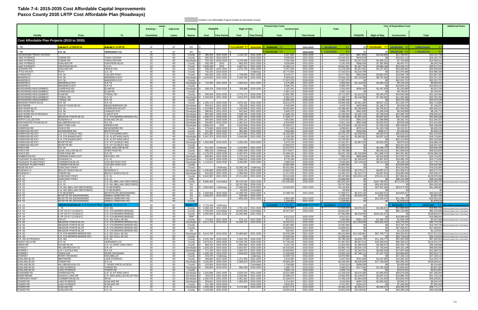### **Table 7-4: 2015-2035 Cost Affordable Capital Improvements Pasco County 2035 LRTP Cost Affordable Plan (Roadways)**

|                                                |                                                  |                                                            |                                        |          |                            |                                        |                                            | Includes Cost Affordable Projects funded by Hernando County     |                                 |                        |                                 |                                 |                                                            |                                 |                              |                                                                    |
|------------------------------------------------|--------------------------------------------------|------------------------------------------------------------|----------------------------------------|----------|----------------------------|----------------------------------------|--------------------------------------------|-----------------------------------------------------------------|---------------------------------|------------------------|---------------------------------|---------------------------------|------------------------------------------------------------|---------------------------------|------------------------------|--------------------------------------------------------------------|
|                                                |                                                  |                                                            | Lanes<br>Existing +<br><b>Improved</b> |          | <b>Funding</b>             | PD&E/PE                                |                                            | <b>Present Day Costs</b><br><b>Right of Way</b><br>Construction |                                 |                        | Total                           | <b>Year of Expenditure Cost</b> |                                                            |                                 |                              | <b>Additional Notes</b>                                            |
| Facility                                       | <b>From</b>                                      | To                                                         | Committed                              | Lanes    | <b>Source</b>              | Cost                                   | ⊺ime Period                                | ïme Period<br>Cost                                              | Cost                            | <b>Time Period</b>     |                                 | PD&E/PE                         | <b>Right of Way</b>                                        | <b>Construction</b>             | <b>Total</b>                 |                                                                    |
| Cost Affordable Plan Projects (2015 to 2035)   |                                                  |                                                            |                                        |          |                            |                                        |                                            |                                                                 |                                 |                        |                                 |                                 |                                                            |                                 |                              |                                                                    |
|                                                |                                                  |                                                            |                                        |          |                            |                                        |                                            |                                                                 |                                 |                        |                                 |                                 |                                                            |                                 |                              |                                                                    |
| l - 75                                         | <b>R. 54 N. of SR/CR 54</b>                      | S.R. 52 N. of SR 52                                        | 4F                                     | 6F       | <b>SIS</b>                 |                                        |                                            | $117.708.000$ \$ 0 2016-2020                                    | $$76,558,000$ \$0               | 2021-2025              | 194.266.000<br>\$0              |                                 | $\sin\left[\frac{\$474.496.496}{80}\right]$ 129.383.020 \$ |                                 | \$-303.879.516               |                                                                    |
| $1 - 75$<br>LACOOCHEE-TRILBY ACCESS            | S.R. 52                                          | <b>HERNANDO CO.</b>                                        | 4F<br>00                               | 6F<br>20 | <b>SIS</b><br>County       |                                        | 386,400 2031-2035                          | 1,133,722 2031-2035                                             | $425.533.000$ \$ 0<br>5,307,688 | 2016-2020<br>2031-2035 | 425.533.000<br>\$0<br>6,827,810 | \$857,808                       | \$2,516,863                                                | 186.096.755 \$0<br>\$11,783,067 | \$486,096,755<br>\$15,157,7  |                                                                    |
| LAKE PATIENCE                                  | OWER RD                                          | TOWN CENTER                                                | 00                                     | 4D       | County                     |                                        | 306,334 2016-2020                          | 2016-2020                                                       | 9,938,580                       | 2021-2025              | 10,244,91                       | \$419,678                       |                                                            | \$16,001,11                     | \$16,420,7                   |                                                                    |
| <b>LAKE PATIENCE</b>                           | TOWER RD                                         | <b>TOWN CENTER</b>                                         | 00                                     | 4D       | Developer                  | 764,426                                | 2016-2020                                  | 3.145.366<br>2016-2020                                          | 4,784,409                       | 2021-2025              | 8,694,20                        | \$1,047.264                     | \$4,309.15                                                 | \$7,702.89                      | \$13,059.3                   |                                                                    |
| LAKE PATIENCE<br>LAKE PATIENCE                 | <b>UNLAKE DR</b><br>OAKSTEAD BLVI                | OAKSTEAD BLVD<br>U.S.41                                    | 2U<br>2U                               | 4D<br>4D | County<br>County           | 293,799<br>1.055.536                   | 2015<br>2015                               | 862,025<br>2021-2025<br>3.097.011<br>2021-2025                  | 4,035,696<br>14.499.114         | 2021-2025<br>2021-2025 | 5,191,52<br>18.651.661          | \$358,435<br>\$1,287,754        | \$1,387,86<br>\$4.986.18                                   | \$6,497,47<br>\$23.343.57       | \$8,243,7<br>\$29.617.5      |                                                                    |
| EONARD RD                                      | SUNLAKE DR                                       | <b>HENLEY RD</b>                                           | 00                                     | 2U       | County                     | 638,262                                | 2021-2025                                  | 1,872,703<br>2031-2035                                          | 8.767.334                       | 2031-2035              | 11,278,29                       | \$1,027,602                     | \$4,157,40                                                 | \$19,463,48                     | \$24.648.48                  |                                                                    |
| LITTLE RD EXT<br><b>IVINGSTON</b>              | FIVAY<br>S.R. 54                                 | U.S. 19<br><b>COLLIER PKWY</b>                             | 4D<br>00                               | 6D<br>4D | County<br>County           | 742,181<br>592,918                     | 2016-2020<br>2021-2025                     | Underway<br>1.739.660<br>2031-2035                              | 16,773,343<br>8.144.477         | 2016-2020<br>2031-2035 | 17,515,52<br>10.477.05          | \$1,016,788<br>\$954.598        | \$3,862,04                                                 | \$22,979,480<br>\$18,080.73     | \$23,996,2<br>\$22,897,3     |                                                                    |
| <b>MANSFIELD</b>                               | S.R. 56                                          | <b>MANSFIELD EXT</b>                                       | $00\degree$                            | 2U       | Developer                  |                                        | 1,324,822 2021-2025                        | 5,445,766<br>2021-2025                                          | 8,283,544                       | 2021-2025              | 15,054,132                      | \$2,132,963                     | \$8,767,68                                                 | \$13,336,50                     | \$24,237,1                   |                                                                    |
| MANSFIELD<br><b>MANSFIELD</b>                  | S.R. 56<br><b>MANSFIELD EXT</b>                  | <b>MANSFIELD EXT</b><br>S.R. 54                            | 2U<br>00                               | 4D<br>4D | County<br><b>Developer</b> |                                        | 710,250 2021-2025                          | 2,083,919<br>2021-2025                                          | 17,207,279<br>3.170.385         | 2026-2030<br>2021-2025 | 17.207.27<br>5,964,55           | - \$0<br>\$1,143,503            | \$3,355,11                                                 | \$32,521,75<br>\$5,104,31       | \$32,521.7<br>\$9,602.9      |                                                                    |
| <b>MANSFIELD</b>                               | <b>MANSFIELD EXT</b>                             | S.R. 54                                                    | 00                                     | 4D       | County                     |                                        |                                            |                                                                 | 6,585,791                       | 2021-2025              | 6,585,79                        |                                 |                                                            | \$10,603,12                     | \$10,603,1                   |                                                                    |
| MCKENDREE REALIGNMENT<br>MCKENDREE REALIGNMENT | <b>OVERPASS RD</b><br><b>OVERPASS RD</b>         | ELAM RD<br>ELAM RD                                         | 00<br>$00\degree$                      | 4D<br>4D | Developer<br>County        |                                        | 268,224 2026-2030                          | 786,989<br>2026-2030                                            | 1,197,291<br>2.487.115          | 2026-2030<br>2026-2030 | 2,252,504<br>2,487,11           | \$506,943                       | \$1,487,40                                                 | \$2,262,88<br>\$4,700,647       | \$4,257,2<br>\$4,700.64      |                                                                    |
| MCKENDREE REALIGNMENT                          | <b>ELAM RD</b>                                   | <b>TYNDAL RD</b>                                           | 00                                     | 4D       | County                     |                                        | 945,845 2021-2025                          | 2.775.172<br>2026-2030                                          | 12.992.380                      | 2026-2030              | 16.713.397                      | \$1,522,810                     | \$5,245,07                                                 | \$24.555.598                    | \$31,323.48                  |                                                                    |
| MCKENDREE REALIGNMENT<br>MCKENDREE REALIGNMENT | <b>TYNDAL RD</b><br><b>YNDAL RD</b>              | S.R. 52<br>S.R. 52                                         | 00<br>00                               | 4D<br>4D | Developer<br>County        |                                        | 1,333,533 2021-2025                        | 3,912,673<br>2026-2030                                          | 5,952,571<br>12,365,185         | 2026-2030<br>2026-2030 | 11,198,77<br>12,365,18          | \$2,146,988                     | \$7,394,95                                                 | \$11,250,36<br>\$23,370,19      | \$20,792,3<br>\$23,370,1     |                                                                    |
| <b>MEADOW POINTE BLVD</b>                      | S.R. 56                                          | S.R. 54                                                    | 2U                                     | 4D       | County                     | 1.355.178                              | 2026-2030                                  | 3,976,181<br>2031-203                                           | 18.615.079                      | 2031-2035              | 23,946,43                       | \$2,561,286                     | \$8,827,12                                                 | \$41,325,47                     | \$52,713,8                   |                                                                    |
| MENTMORE                                       | ASHLEY GLEN BLVD                                 | MEADOWBROOK DR                                             | $00\,$                                 | 2U       | Developer                  | 250,912                                | 2021-2025                                  | 736.193<br>2021-2025                                            | 3.446.595                       | 2021-2025              | 4.433.70                        | \$403,968                       | \$1,185,27                                                 | \$5,549,01                      | \$7.138.2                    |                                                                    |
| <b>NEW RIVER BLVD</b><br>NEW RIVER RD          | S.R. 54<br>S.R. 56                               | <b>OVERPASS RD EXT</b><br><b>CHANCEY EXT</b>               | 00<br>00                               | 2U<br>2U | Developer<br>Developer     | 1.419.806<br>286,851                   | 2021-2025<br>2021-2025                     | 4.165.808<br>2021-2025<br>841,642<br>2021-2025                  | 19.502.846<br>3,940,272         | 2021-2025<br>2021-2025 | 25.088.46<br>5,068,76           | \$2,285,888<br>\$461,830        | \$6,706,95<br>\$1,355,04                                   | \$31.399.58<br>\$6,343,83       | \$40,392.4<br>\$8,160,7      |                                                                    |
| NEW RIVER RD EXTENSION                         | S.R. 54                                          | Z.WEST EXT                                                 | 00                                     | 2U       | Developer                  | 865,499                                | 2026-2030                                  | 2,539,433<br>2026-2030                                          | 11,888,730                      | 2026-2030              | 15,293,662                      | \$1,635,793                     | \$4,799,52                                                 | \$22,469,70                     | \$28,905,0                   |                                                                    |
| NEW ROAD A<br><b>NORTH COLLECTOR</b>           | MEADOW POINTE BLVD<br>ROADWAY A                  | C.R. 579 (MORRIS BRIDGE RD<br>SUNLAKE DR (S)               | 00<br>$00\,$                           | 2U<br>2U | Developer<br>Developer     | 1,260,075<br>360.640                   | 2026-2030<br>2026-2030                     | 3.697.144<br>2026-2030<br>1.058.141<br>2026-2030                | 17,308,727<br>4.953.842         | 2026-2030<br>2026-2030 | 22,265,94<br>6,372,623          | \$2,381,542<br>\$681,610        | \$6,987,60<br>\$1,999.88                                   | \$32,713,494<br>\$9,362,76      | \$42,082,6<br>\$12,044.2     |                                                                    |
| NORTHWOOD PALMS BLVD                           | HILLSBOROUGH CO                                  | S.R. 56                                                    | 00                                     | 2U       | Developer                  | 504.867                                | 2016-2020                                  | 1.481.312<br>2016-2020                                          | 6.934.984                       | 2016-2020              | 8.921.16                        | \$691.668                       | \$2,029,39                                                 | \$9,500.928                     | \$12,221,9                   |                                                                    |
| <b>OLD DIXIE</b><br>OVERPASS RD                | NEW YORK AVI<br>PASCO RD                         | <b>ARIPEKA RD</b><br><b>MCKENDREE RD</b>                   | 00<br>2U                               | 2U<br>4D | Developer<br>County        | 1,889,019<br>273,840                   | 2015<br>2016-2020                          | 5,542,508<br>2016-2020<br>803,466<br>2016-2020                  | 25,948,071<br>3,761,545         | 2016-2020<br>2016-2020 | 33,379,598<br>4,838,85          | \$2,304,603<br>\$375,161        | \$7,593,23<br>\$1,100,748                                  | \$35,548,85<br>\$5,153,31       | \$45,446,6<br>\$6,629,2      |                                                                    |
| <b>OVERPASS RD EXT</b>                         | MCKENDREE RD                                     | <b>BOYETTE RD</b>                                          | 2U                                     | 4D       | County                     | 121,457                                | 2016-2020                                  | 356,363<br>2016-2020                                            | 1,668,368                       | 2016-2020              | 2,146,18                        | \$166,396                       | \$488,21                                                   | \$2,285,66                      | \$2,940,2                    |                                                                    |
| OVERPASS RD EXT                                | C.R. 577 (CURLEY RD)                             | C.R. 579 (HANDCART)                                        | $00\,$                                 | 4D       | County                     | 1.831.893                              | 2016-2020                                  | 5.374.894<br>2021-2025<br>4.246.685                             | 25.163.360                      | 2021-2025              | 32.370.147                      | \$2,509,693                     | \$8,653.57<br>\$6,837.16                                   | \$40.513.01                     | \$51,676.2                   |                                                                    |
| OVERPASS RD EXT<br><b>OVERPASS RD EX</b>       | C.R. 579 (HANDCART<br>C.R. 579 (HANDCART)        | C.R. 41 (FT KING HWY<br>C.R. 41 (FT KING HWY)              | 00<br>00                               | 4D<br>4D | Developer<br>County        | 1.447.373                              | 2016-2020                                  | 2021-2025                                                       | 6.148.199<br>13,733,287         | 2021-2025<br>2021-2025 | 11.842.257<br>13,733,28         | \$1,982,901                     |                                                            | \$9,898,600<br>\$22,110,59      | \$18,718.66<br>\$22,110,5    |                                                                    |
| OVERPASS RD EXT                                | BOYETTE RD                                       | C.R. 577 (CURLEY RD)                                       | 00                                     | 4D       | Developer                  |                                        | 1,450,598 2016-2020                        | 4,256,150<br>2016-2020                                          | 6,475,123                       | 2016-2020              | 12,181,871                      | \$1,987,319                     | \$5,830,92                                                 | \$8,870,91                      | \$16,689.1                   |                                                                    |
| <b>OVERPASS RD EXT</b><br>PASCO RD             | <b>BOYETTE RD</b><br>S.R. 54                     | C.R. 577 (CURLEY RD)<br>QUAIL HOLLOW BLVD                  | 00<br>2U                               | 4D<br>4D | County<br>County           |                                        | 411,024 Underway                           | 2.140.854<br>2021-2025                                          | 13,450,673<br>12.672.375        | 2016-2020<br>2021-2025 | 13,450,67<br>15,224,253         | \$C<br>\$0                      | \$3,446,77                                                 | \$18,427,42<br>\$20.402.524     | \$18,427,4<br>\$23.849.2     |                                                                    |
| PASCO RD                                       | <b>QUAIL HOLLOW BLVD</b>                         | <b>OVER PASS RD</b>                                        | 2U                                     | 4D       | County                     | 980.243                                | Underway                                   | 4.980.268<br>2021-2025                                          | 25.779.877                      | 2021-2025              | 31.740.38                       | -90                             | \$8,018.23                                                 | \$41,505,602                    | \$49,523.8                   |                                                                    |
| PASCO RD<br>PEMBERTON RD                       | <b>OVER PASS RD</b><br>PERRINE RANCH EXT         | S.R. 52<br><b>MITCHELL RD</b>                              | 2U<br>00                               | 4D<br>2U | County<br>Developer        | 1,175,079<br>400,851                   | 2026-2030<br>2031-2035                     | 6,287,870<br>2026-2030<br>1.176.123<br>2031-2035                | 41,568,181<br>5,506,194         | 2031-2035<br>2031-2035 | 49,031,13<br>7.083.16           | \$2,220,899<br>\$889,889        | \$11,884,07<br>\$2,610,99                                  | \$92,281,36<br>\$12,223,75      | \$106,386,3<br>\$15,724,6    |                                                                    |
| PLEASANT PLAINS PKWY                           | ROADWAY A                                        | <b>U.S. 41</b>                                             | 00                                     | 2U       | Developer                  | 711,853                                | 2026-2030                                  | 2,088,623<br>2026-2030                                          | 9,778,196                       | 2026-2030              | 12,578,67                       | \$1,345,402                     | \$3,947,49                                                 | \$18,480,79                     | \$23,773,6                   |                                                                    |
| PLEASANT PLAINS PKWY<br>PLEASANT PLAINS PKWY   | CONNERTON BLVD<br>CONNERTON BLVD                 | <b>COLLIER PKWY EXT</b><br><b>COLLIER PKWY EXT</b>         | $00\,$<br>00                           | 4D<br>4D | Developer<br>County        |                                        | 1,119,912 2026-2030                        | 3,285,895<br>2026-2030                                          | 4.999.018<br>10.384.384         | 2026-2030<br>2026-2030 | 9.404.82<br>10.384.38           | \$2.116.634<br>.SO              | \$6,210,342                                                | \$9,448,144<br>\$19.626.486     | \$17,775.1<br>\$19,626.48    |                                                                    |
| RIDGE RD EXT                                   | SUNCOAST PKWY                                    | U.S. 41                                                    | 00                                     | 4D       | County                     |                                        | Underway                                   | 10,280,160<br>Underway                                          | 55,631,892                      | 2016-2020              | 65,912,05                       |                                 |                                                            | \$76,215,69                     | \$76,215,6                   |                                                                    |
| ROADWAY A<br>ROADWAY I                         | BEXLEY RANCH BLVD<br>TOWER RD                    | ROADWAY C<br><b>BEXLEY RANCH BLVD</b>                      | 00<br>00                               | 2U<br>2U | Developer<br>Developer     | 1,205,882<br>816,629                   | 2026-2030<br>2021-2025                     | 3.538.133<br>2026-2030<br>2,396,044<br>2021-2025                | 16.564.293<br>11,217,434        | 2026-2030<br>2021-2025 | 21.308.308<br>14,430,10         | \$2,279,117<br>\$1,314,77       | \$6,687,07<br>\$3,857,63                                   | \$31.306.51<br>\$18,060,06      | \$40,272,7<br>\$23,232,4     |                                                                    |
| S.R. 52                                        | SUNCOAST PKWY                                    | <b>U.S. 41</b>                                             | 2U                                     | 6D       | County                     |                                        | 9,442,387 2021-2025                        | 47,211,933<br>2021-2025                                         | 23.513.549                      | 2021-2025              | 80.167.869                      | \$15,202,243                    | \$76,011,21                                                | \$37,856,814                    | \$129,070.2                  |                                                                    |
| S.R. 52                                        | SUNCOAST PKWY                                    | <b>U.S. 41</b>                                             | 2U                                     | 6D       | TMA                        |                                        |                                            |                                                                 | 23.698.384                      | 2021-2025              | 23.698.38                       |                                 |                                                            | \$38.154.39                     | \$38,154.3                   |                                                                    |
| S.R. 52<br>S.R. 52                             | J.S. 41<br>J.S. 41                               | C.R. 581 (BELLAMY BROTHER:<br>C.R. 581 (BELLAMY BROTHER)   | 2U<br>2U                               | 4D<br>4D | County<br>OA               |                                        | 5,880,000 Committed                        | 86,132,644<br>2026-2030<br>28.747.356<br>2026-2030              | 144,190,000                     | 2026-2030              | 236,202,64<br>28,747,356        | -\$0                            | \$162,790,69<br>\$54,332,50                                | \$272,519,10                    | \$435,309,7<br>\$54,332,5    | enue (Impact Fees, Prop Share)                                     |
| S.R. 52                                        | C.R. 581 (BELLAMY BROTHERS)                      | I-75 SB RAMPS                                              | 2U                                     | 4D       | OA                         | 2,904,000                              | Underway                                   | 27,680,000<br>2016-2020                                         | 14,520,000                      | 2021-2025              | 45,104,00                       | \$0                             | \$37,921,60                                                | \$23,377,20                     | \$61,298,8                   |                                                                    |
| S.R. 52<br>S.R. 5.                             | C.R. 581 (BELLAMY BROTHERS)<br>-75 SB RAMPS      | <b>I-75 SB RAMPS</b><br>BOYETTE RD (MCKENDREE)             | 2U<br>4D.                              | 4D<br>6D | OA                         | $\frac{1}{2}$ , 2,459,953 2016-2020 \$ |                                            | 84.405<br>Committed<br>12,299,762 2016-2020                     | 12,299,762                      | 2021-2025              | 84.405                          | \$0<br>27,059,477 \$3,370,136   | \$16,850,674                                               | \$19,802,617                    | \$40,023,426                 |                                                                    |
| S.R. 52                                        | BOYETTE RD (MCKENDREE)                           | EMMUS CEMETARY RD                                          | 2U                                     | 4D       | OA                         | \$1,636,675 2016-2020                  |                                            | 529,045 2016-2020                                               |                                 |                        | 2,165,720                       | \$2,242,245                     | \$724,792                                                  |                                 | \$2,967,0                    |                                                                    |
| S.R. 52<br>S.R. 52                             | BOYETTE RD (MCKENDREE)<br>BOYETTE RD (MCKENDREE) | <b>EMMUS CEMETARY RD</b><br><b>EMMUS CEMETARY RD</b>       | 2U<br>2U                               | 4D<br>4D | OA<br>County               |                                        |                                            | 7.654.329 2021-2025                                             | 6,954,480<br>1,228,894          | 2021-2025<br>2021-2025 | 14.608.80<br>1,228,894          | - \$0<br>\$0                    | \$12,323,470                                               | \$11,196,71<br>\$1,978,51       | \$23,520,1<br>\$1,978,51     |                                                                    |
| S.R. 54                                        | SHLEY GLEN BLVD. E of Suncoast Pkwy              | U.S. 41 W of U.S. 41                                       | 4D                                     | 6D       | <del>ounty</del> O/        |                                        | 4,723,169 Underway                         |                                                                 | 23.615.843 \$17.796.932         | 021-2025 2016-20       | \$ 28,339,012 \$ 22,520         | \$0                             |                                                            | 38.021.507 \$ 0                 | $-38.021.507$ \$ 0           | is will be a County proje-                                         |
| S.R. 54                                        | - 75                                             | S.R. 581                                                   | 6D                                     | 8D       | County                     |                                        | 2,469,194 2021-2025                        | 2,701,163<br>2021-2025                                          | 6,172,985                       | 2026-2030              | 11,343,342                      | \$3,975,402                     | \$4,348,872                                                | \$11,666,942                    | \$19,991,216                 | evenue (Impact Fees, Prop Share)                                   |
| S.R. 54<br>S.R. 54                             | E OF CR 577 (CURLEY)<br>OF CR 577 (CURLEY)       | C.R. 579 (MORRIS BRIDGE)<br>C.R. 579 (MORRIS BRIDGE)       | 2U<br>2U                               | 4D<br>4D | County<br>County           |                                        | 2.765.000 Committed<br>5,300,000 2021-2025 | 18,000,000<br>Committed<br>62.292.965 2021-2025                 | 45,037,087                      | 2026-2030              | 65,802,087<br>67,592,965        | \$8,533,000                     | \$100,291,673                                              | \$85,120,09                     | \$85,120,09<br>\$108,824,673 | venue (Impact Fees, Prop Share)<br>venue (Impact Fees, Prop Share) |
| S.R. 54                                        | E OF CR 577 (CURLEY)                             | C.R. 579 (MORRIS BRIDGE)                                   | 2U                                     | 4D       | <b>TRIP</b>                |                                        |                                            |                                                                 | 8,512,913                       | 2026-2030              | 8,512,913                       |                                 |                                                            | \$16,089,405                    | \$16,089,40                  |                                                                    |
| S.R. 54<br>S.R. 56                             | 6TH ST<br>MEADOW POINTE BLVD                     | U.S. 301 (GALL BLVD)<br>C.R. 579 (MORRIS BRIDGE RD)        | 2U<br>00                               | 4D<br>4D | County<br><b>Developer</b> |                                        | 174,624 2021-2025<br>8,211,744 2016-2020   | 873.121<br>2021-2025<br>41,058,720<br>2016-2020                 | 873.121<br>13,342,514           | 2026-2030<br>2016-2020 | 1.920.866<br>62,612,978         | \$281,145<br>\$11,250,089       | \$1,405,725<br>\$56,250,446                                | \$1,650.199<br>\$18,279,244     | \$3,337.06<br>\$85,779,7     | enue (Impact Fees, Prop Share)                                     |
| S.R. 56                                        | MEADOW POINTE BLVD                               | C.R. 579 (MORRIS BRIDGE RD                                 | 00                                     | 4D       | County                     |                                        |                                            |                                                                 | 10,067,682                      | 2016-2020              | 10,067,682                      | \$0                             |                                                            | \$13,792,725                    | \$13,792,72                  | venue (Impact Fees, Prop Share)                                    |
| S.R. 56<br>S.R. 56                             | <b>MEADOW POINTE BLVD</b><br>MEADOW POINTE BLVD  | C.R. 579 (MORRIS BRIDGE RD)<br>C.R. 579 (MORRIS BRIDGE RD) | $00\,$<br>00                           | 4D<br>4D | County<br>OA               |                                        |                                            |                                                                 | 16.828.523<br>820,001           | 2021-2025<br>2016-2020 | 16.828.523<br>820,001           | \$0<br>.ፍር                      |                                                            | \$27.093.921<br>\$1,123,40      | \$27,093,92<br>\$1,123,40    |                                                                    |
| S.R. 56                                        | C.R. 579 (MORRIS BRIDGE RD)                      | U.S. 301 (GALL BLVD)                                       | $00\degree$                            | 2U       | Developer                  |                                        | 8,413,760 2016-2020                        | 42.068.802 2021-2025                                            | 30.033.298                      | 2021-2025              | 80.515.860                      | \$11,526,851                    | \$67,730,771                                               | \$48,353,610                    | \$127.611.23                 | venue (Impact Fees, Prop Share)                                    |
| S.R. 56<br>S.R. 581 EXTENSION                  | C.R. 579 (MORRIS BRIDGE RD)<br>S.R. 581          | U.S. 301 (GALL BLVD)<br>$\overline{S}$ .R. 54              | 2U<br>00                               | 4D<br>6D | County                     |                                        | 2,025,788 2026-2030                        | 5,943,795<br>2026-2030                                          | 12,035,504<br>27,826,756        | 2031-2035<br>2026-2030 | 12,035,504<br>35,796,339        | \$3,828,739                     | \$11,233,773                                               | \$26,718,81<br>\$52,592,569     | \$26,718,81<br>\$67,655,08   | venue (Impact Fees, Prop Share)                                    |
| SHADY HILLS RD                                 | S.R. 52                                          | <b>HERNANDO CO</b>                                         | 2U                                     | 4D       | County<br>County           |                                        | 3,474,611 2026-2030                        | 10,194,735<br>2026-2030                                         | 47.728.156                      | 2026-2030              | 61,397,502                      | \$6,567,015                     | \$19,268,049                                               | \$90,206,215                    | \$116.041.27                 | enue (Impact Fees, Prop Share)                                     |
| SIMON RD                                       | EILAND BLVD                                      | C.R. 41 (FORT KING HWY)                                    | $00\,$                                 | 2U       | County                     | 669.162                                | 2031-2035                                  | 1,963,366<br>2031-2035                                          | 9,191,792                       | 2031-2035              | 11,824,320                      | \$1,485,540                     | \$4,358,67                                                 | \$20,405,778                    | \$26,249,99                  |                                                                    |
| STANLEY<br><b>STARKEY</b>                      | HILLSBOROUGH CO<br>C.R. 1 (LITTLE RD)            | S.R. 54<br>S.R. 54                                         | $00\,$<br>00                           | 2U<br>2U | Developer<br>Developer     |                                        | 1,923,153 2016-2020<br>771,752 2021-2025   | 5.642.657<br>2016-2020<br>2,264,372<br>2021-2025                | 26.416.933<br>10,600,991        | 2016-2020<br>2021-2025 | 33.982.743<br>13,637,11         | \$2,634,720<br>\$1,242,521      | \$7,730,440<br>\$3,645,63                                  | \$36.191.198<br>\$17,067,596    | \$46,556.35<br>\$21,955,7    |                                                                    |
| <b>STARKEY</b>                                 | <b>TOWN AVE</b>                                  | <b>RIVER CROSSING</b>                                      | 2U                                     | 4D       | County                     | 1,305,192                              | 2016-2020                                  | 3,829,520<br>2026-2030                                          | 17.928.468                      | 2026-2030              | 23,063,18                       | \$1,788,113                     | \$7,237,793                                                | \$33.884.80                     | \$42,910.7                   |                                                                    |
| STARKEY<br><b>SUNLAKE BLVD</b>                 | RIVER CROSSING<br><b>MENTMORE</b>                | <b>DECUBELLIS</b><br><b>LAKE PATIENCE</b>                  | 2U<br>$00\,$                           | 4D<br>4D | County<br>County           | 466.862                                | 423,275 Underway<br>2021-2025              | Underway<br>$\sim$<br>1,371,408<br>2021-2025                    | 12.549.718<br>6,419,355         | 2016-2020<br>2021-2025 | 12,972,993<br>8,257,625         | \$751,648                       | \$2,207,96                                                 | \$17.193.114<br>\$10,335,162    | \$17,193,11<br>\$13,294,77   |                                                                    |
| SUNLAKE BLVD                                   | TOWER RD                                         | S.R. 52                                                    | $00\,$                                 | 2U       | Developer                  |                                        | 3,193,391 2026-2030                        | 9,369,619<br>2026-2030                                          | 43,865,255                      | 2026-2030              | 56,428,26                       | \$6,035,509                     | \$17,708,58                                                | \$82.905.332                    | \$106.649.42                 |                                                                    |
| SUNLAKE BLVD                                   | HILLSBOROUGH CO                                  | T. ROWE PRICE ACCESS                                       | 2U                                     | 4D       | County                     |                                        | 210,624 2016-2020                          | Committed                                                       | 2,799,890                       | 2016-2020              | 3,010,51                        | \$288,555                       |                                                            | \$3,835,849                     | \$4,124,40                   |                                                                    |
| SUNLAKE BLVD<br>SUNLAKE BLVD                   | LAKE PATIENCE<br>LAKE PATIENCE                   | TOWER RD<br>TOWER RD                                       | 00<br>$00\,$                           | 4D<br>4D | Developer<br>County        |                                        | 304,850 2016-2020                          | 894,448<br>2016-2020                                            | 1.360.775<br>2.826.716          | 2016-2020<br>2016-2020 | 2.560.073<br>2,826,716          | \$417,645                       | \$1,225,394                                                | \$1,864,262<br>\$3,872,60       | \$3,507,30<br>\$3,872.60     |                                                                    |
| SUNSHINE RD                                    | <b>OVERPASS RD</b>                               | C.R. 41 (FT KING HWY)                                      | $00\,$                                 | 2U       | Developer                  |                                        | 1,202,836 2031-2035                        | 3,529,204<br>2031-2035                                          | 16,522,489                      | 2031-2035              | 21,254,529                      | \$2,670,296                     | \$7,834,83                                                 | \$36,679,92                     | \$47,185,05                  |                                                                    |
| SWEETBRIAR<br>SYMPHONY PKWY                    | <b>HOLIDAY LAKE DR</b><br>CONNERTON BLVD         | C.R. 595A (BAILLIES BLUFF RD<br>SR 52                      | $00\,$<br>00                           | 2U<br>2U | Developer<br>Developer     |                                        | 763,576 2021-2025<br>1,530,763 2021-2025   | 2,240,381<br>2021-2025<br>4,491,362<br>2021-2025                | 10.488.673<br>21,026,975        | 2021-2025<br>2021-2025 | 13,492,63<br>27,049,10          | \$1,229,357<br>\$2,464,528      | \$3,607.01<br>\$7,231,09                                   | \$16,886,76<br>\$33,853,430     | \$21,723,13<br>\$43,549,05   |                                                                    |
| TOWER RD                                       | LAKE PATIENCE                                    | <b>SUNLAKE DR</b>                                          | 00                                     | 4D       | Developer                  |                                        | 353,814 2016-2020                          | 1.455.826<br>2016-2020                                          | 2,214,454                       | 2021-2025              | 4,024,094                       | \$484.725                       | \$1,994,482                                                | \$3,565,27                      | \$6,044.47                   |                                                                    |
| TOWER RD<br>Tower RD                           | LAKE PATIENCE<br>SUNLAKE DR                      | SUNLAKE DR<br>U.S. 41                                      | 00<br>00                               | 4D<br>2U | County<br>Developer        | 141.786<br>1,500,166                   | 2016-2020<br>2016-2020                     | 2016-2020<br>6,172,686<br>2016-2020                             | 4.600.051<br>20,627,278         | 2021-2025<br>2016-2020 | 4.741.837<br>28,300,129         | \$194.247<br>\$2,055,227        | \$8,456,579                                                | \$7,406,082<br>\$28,259,37      | \$7,600.32<br>\$38,771,17    |                                                                    |
| TOWER RD                                       | SUNLAKE DR                                       | U.S. 41                                                    | 2U                                     | 4D       |                            | County \$ 1,418,483 2031-2035          |                                            |                                                                 | 19,504,166                      | 2031-2035              | 20,922,649                      | \$3,149,032                     |                                                            | \$43,299,248                    | \$46,448,28                  |                                                                    |
|                                                |                                                  |                                                            |                                        |          |                            |                                        |                                            |                                                                 |                                 |                        |                                 |                                 |                                                            |                                 |                              |                                                                    |